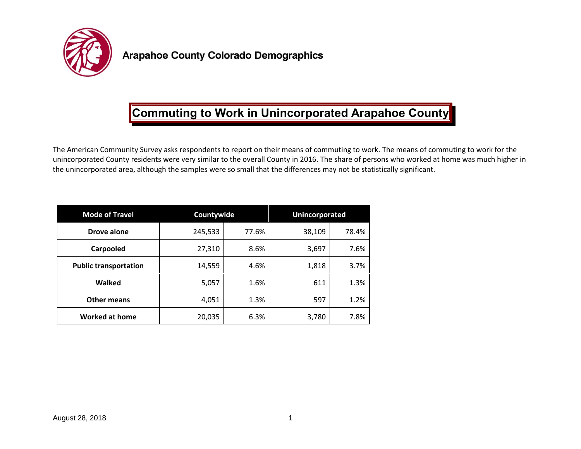

## **Commuting to Work in Unincorporated Arapahoe County**

The American Community Survey asks respondents to report on their means of commuting to work. The means of commuting to work for the unincorporated County residents were very similar to the overall County in 2016. The share of persons who worked at home was much higher in the unincorporated area, although the samples were so small that the differences may not be statistically significant.

| <b>Mode of Travel</b>        | Countywide |       | <b>Unincorporated</b> |       |
|------------------------------|------------|-------|-----------------------|-------|
| Drove alone                  | 245,533    | 77.6% | 38,109                | 78.4% |
| Carpooled                    | 27,310     | 8.6%  | 3,697                 | 7.6%  |
| <b>Public transportation</b> | 14,559     | 4.6%  | 1,818                 | 3.7%  |
| Walked                       | 5,057      | 1.6%  | 611                   | 1.3%  |
| Other means                  | 4,051      | 1.3%  | 597                   | 1.2%  |
| <b>Worked at home</b>        | 20,035     | 6.3%  | 3,780                 | 7.8%  |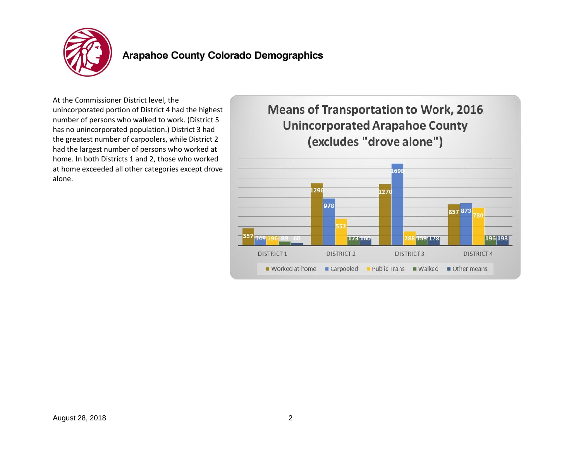

## **Arapahoe County Colorado Demographics**

At the Commissioner District level, the unincorporated portion of District 4 had the highest number of persons who walked to work. (District 5 has no unincorporated population.) District 3 had the greatest number of carpoolers, while District 2 had the largest number of persons who worked at home. In both Districts 1 and 2, those who worked at home exceeded all other categories except drove alone.